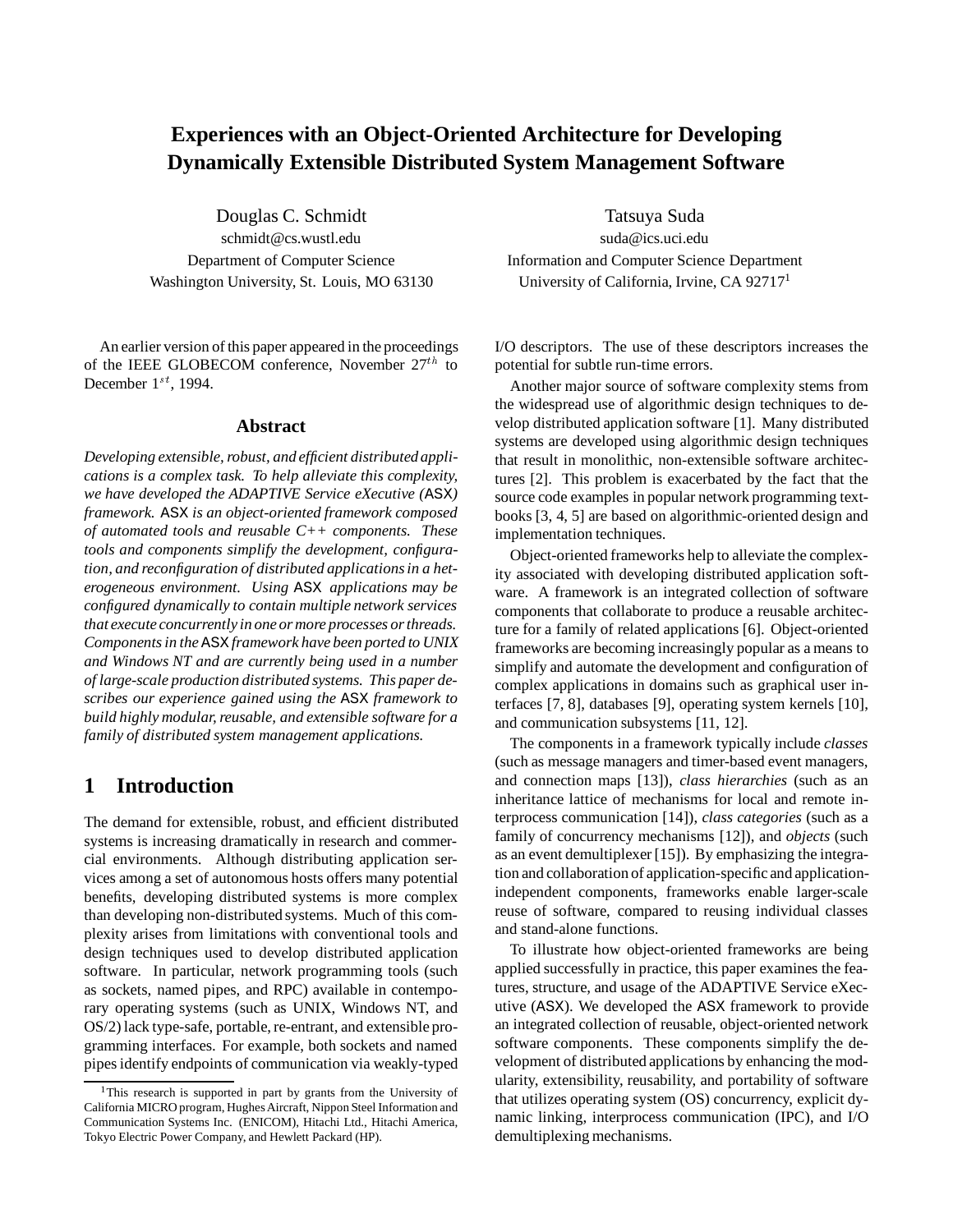# **Experiences with an Object-Oriented Architecture for Developing Dynamically Extensible Distributed System Management Software**

Douglas C. Schmidt Tatsuya Suda schmidt@cs.wustl.edu suda@ics.uci.edu Washington University, St. Louis, MO 63130 University of California, Irvine, CA 92717<sup>1</sup>

An earlier version of this paper appeared in the proceedings of the IEEE GLOBECOM conference, November  $27<sup>th</sup>$  to December  $1^{st}$ , 1994.

#### **Abstract**

*Developing extensible, robust, and efficient distributedapplications is a complex task. To help alleviate this complexity, we have developed the ADAPTIVE Service eXecutive (*ASX*) framework.* ASX *is an object-oriented framework composed of automated tools and reusable C++ components. These tools and components simplify the development, configuration, and reconfiguration of distributed applications in a heterogeneous environment. Using* ASX *applications may be configured dynamically to contain multiple network services that execute concurrently in one or more processes or threads. Components in the* ASX*framework have been ported to UNIX and Windows NT and are currently being used in a number of large-scale production distributed systems. This paper describes our experience gained using the* ASX *framework to build highly modular, reusable, and extensible software for a family of distributed system management applications.*

## **1 Introduction**

The demand for extensible, robust, and efficient distributed systems is increasing dramatically in research and commercial environments. Although distributing application services among a set of autonomous hosts offers many potential benefits, developing distributed systems is more complex than developing non-distributed systems. Much of this complexity arises from limitations with conventional tools and design techniques used to develop distributed application software. In particular, network programming tools (such as sockets, named pipes, and RPC) available in contemporary operating systems (such as UNIX, Windows NT, and OS/2) lack type-safe, portable, re-entrant, and extensible programming interfaces. For example, both sockets and named pipes identify endpoints of communication via weakly-typed

Department of Computer Science Information and Computer Science Department

I/O descriptors. The use of these descriptors increases the potential for subtle run-time errors.

Another major source of software complexity stems from the widespread use of algorithmic design techniques to develop distributed application software [1]. Many distributed systems are developed using algorithmic design techniques that result in monolithic, non-extensible software architectures [2]. This problem is exacerbated by the fact that the source code examples in popular network programming textbooks [3, 4, 5] are based on algorithmic-oriented design and implementation techniques.

Object-oriented frameworks help to alleviate the complexity associated with developing distributed application software. A framework is an integrated collection of software components that collaborate to produce a reusable architecture for a family of related applications [6]. Object-oriented frameworks are becoming increasingly popular as a means to simplify and automate the development and configuration of complex applications in domains such as graphical user interfaces [7, 8], databases [9], operating system kernels [10], and communication subsystems [11, 12].

The components in a framework typically include *classes* (such as message managers and timer-based event managers, and connection maps [13]), *class hierarchies* (such as an inheritance lattice of mechanisms for local and remote interprocess communication [14]), *class categories* (such as a family of concurrency mechanisms [12]), and *objects* (such as an event demultiplexer [15]). By emphasizing the integration and collaboration of application-specific and applicationindependent components, frameworks enable larger-scale reuse of software, compared to reusing individual classes and stand-alone functions.

To illustrate how object-oriented frameworks are being applied successfully in practice, this paper examines the features, structure, and usage of the ADAPTIVE Service eXecutive (ASX). We developed the ASX framework to provide an integrated collection of reusable, object-oriented network software components. These components simplify the development of distributed applications by enhancing the modularity, extensibility, reusability, and portability of software that utilizes operating system (OS) concurrency, explicit dynamic linking, interprocess communication (IPC), and I/O demultiplexing mechanisms.

<sup>&</sup>lt;sup>1</sup>This research is supported in part by grants from the University of California MICRO program, Hughes Aircraft, Nippon Steel Information and Communication Systems Inc. (ENICOM), Hitachi Ltd., Hitachi America, Tokyo Electric Power Company, and Hewlett Packard (HP).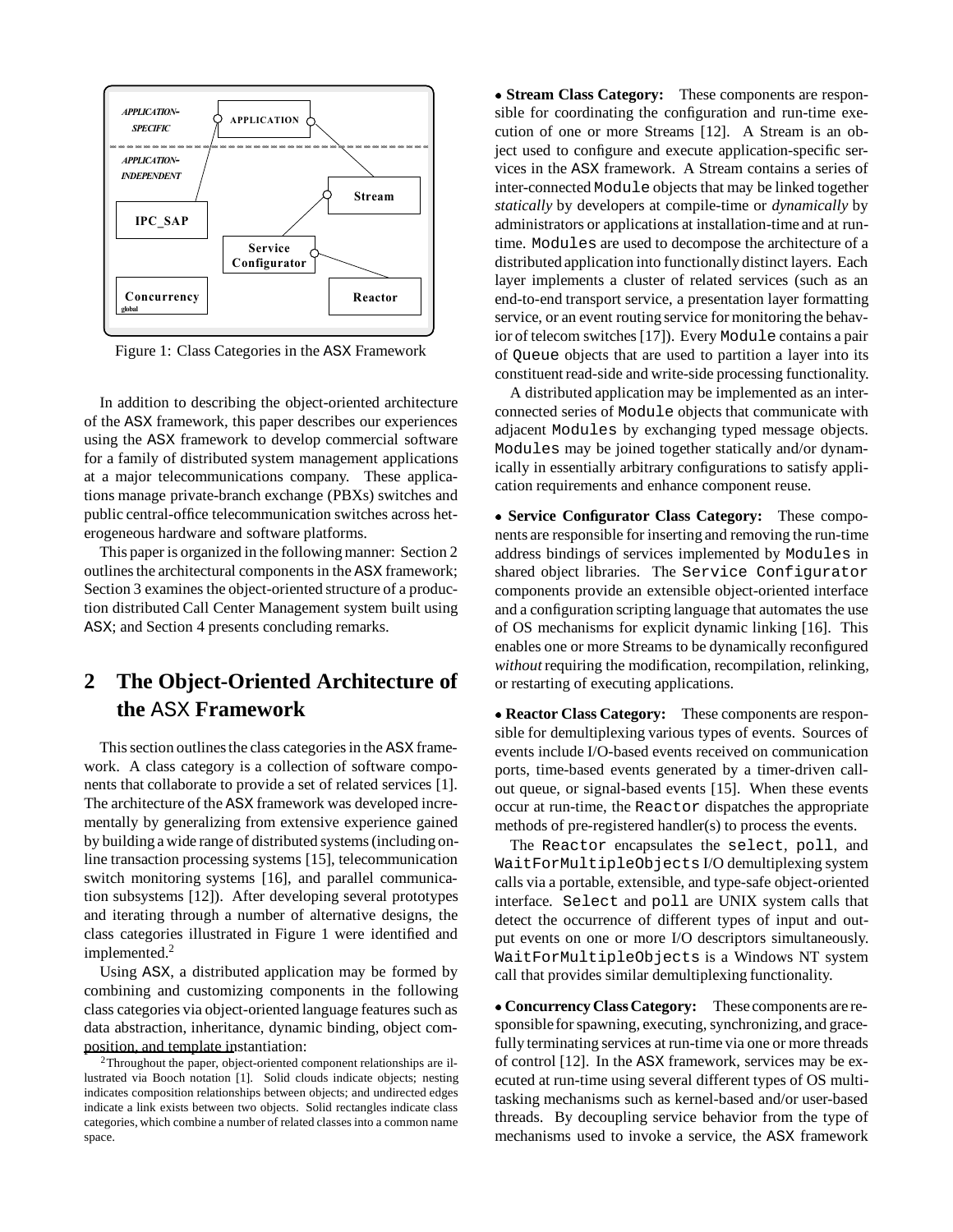

Figure 1: Class Categories in the ASX Framework

In addition to describing the object-oriented architecture of the ASX framework, this paper describes our experiences using the ASX framework to develop commercial software for a family of distributed system management applications at a major telecommunications company. These applications manage private-branch exchange (PBXs) switches and public central-office telecommunication switches across heterogeneous hardware and software platforms.

This paper is organized in the following manner: Section 2 outlines the architectural components in the ASX framework; Section 3 examines the object-oriented structure of a production distributed Call Center Management system built using ASX; and Section 4 presents concluding remarks.

# **2 The Object-Oriented Architecture of the** ASX **Framework**

This section outlines the class categories in the ASX framework. A class category is a collection of software components that collaborate to provide a set of related services [1]. The architecture of the ASX framework was developed incrementally by generalizing from extensive experience gained by building a wide range of distributed systems (including online transaction processing systems [15], telecommunication switch monitoring systems [16], and parallel communication subsystems [12]). After developing several prototypes and iterating through a number of alternative designs, the class categories illustrated in Figure 1 were identified and implemented.<sup>2</sup>

Using ASX, a distributed application may be formed by combining and customizing components in the following class categories via object-oriented language features such as data abstraction, inheritance, dynamic binding, object composition, and template instantiation:

 **Stream Class Category:** These components are responsible for coordinating the configuration and run-time execution of one or more Streams [12]. A Stream is an object used to configure and execute application-specific services in the ASX framework. A Stream contains a series of inter-connected Module objects that may be linked together *statically* by developers at compile-time or *dynamically* by administrators or applications at installation-time and at runtime. Modules are used to decompose the architecture of a distributed application into functionally distinct layers. Each layer implements a cluster of related services (such as an end-to-end transport service, a presentation layer formatting service, or an event routing service for monitoring the behavior of telecom switches [17]). Every Module contains a pair of Queue objects that are used to partition a layer into its constituent read-side and write-side processing functionality.

A distributed application may be implemented as an interconnected series of Module objects that communicate with adjacent Modules by exchanging typed message objects. Modules may be joined together statically and/or dynamically in essentially arbitrary configurations to satisfy application requirements and enhance component reuse.

 **Service Configurator Class Category:** These components are responsible for inserting and removing the run-time address bindings of services implemented by Modules in shared object libraries. The Service Configurator components provide an extensible object-oriented interface and a configuration scripting language that automates the use of OS mechanisms for explicit dynamic linking [16]. This enables one or more Streams to be dynamically reconfigured *without* requiring the modification, recompilation, relinking, or restarting of executing applications.

 **Reactor Class Category:** These components are responsible for demultiplexing various types of events. Sources of events include I/O-based events received on communication ports, time-based events generated by a timer-driven callout queue, or signal-based events [15]. When these events occur at run-time, the Reactor dispatches the appropriate methods of pre-registered handler(s) to process the events.

The Reactor encapsulates the select, poll, and WaitForMultipleObjects I/O demultiplexing system calls via a portable, extensible, and type-safe object-oriented interface. Select and poll are UNIX system calls that detect the occurrence of different types of input and output events on one or more I/O descriptors simultaneously. WaitForMultipleObjects is a Windows NT system call that provides similar demultiplexing functionality.

 **Concurrency Class Category:** These components are responsible for spawning, executing, synchronizing, and gracefully terminating services at run-time via one or more threads of control [12]. In the ASX framework, services may be executed at run-time using several different types of OS multitasking mechanisms such as kernel-based and/or user-based threads. By decoupling service behavior from the type of mechanisms used to invoke a service, the ASX framework

 $2$ Throughout the paper, object-oriented component relationships are illustrated via Booch notation [1]. Solid clouds indicate objects; nesting indicates composition relationships between objects; and undirected edges indicate a link exists between two objects. Solid rectangles indicate class categories, which combine a number of related classes into a common name space.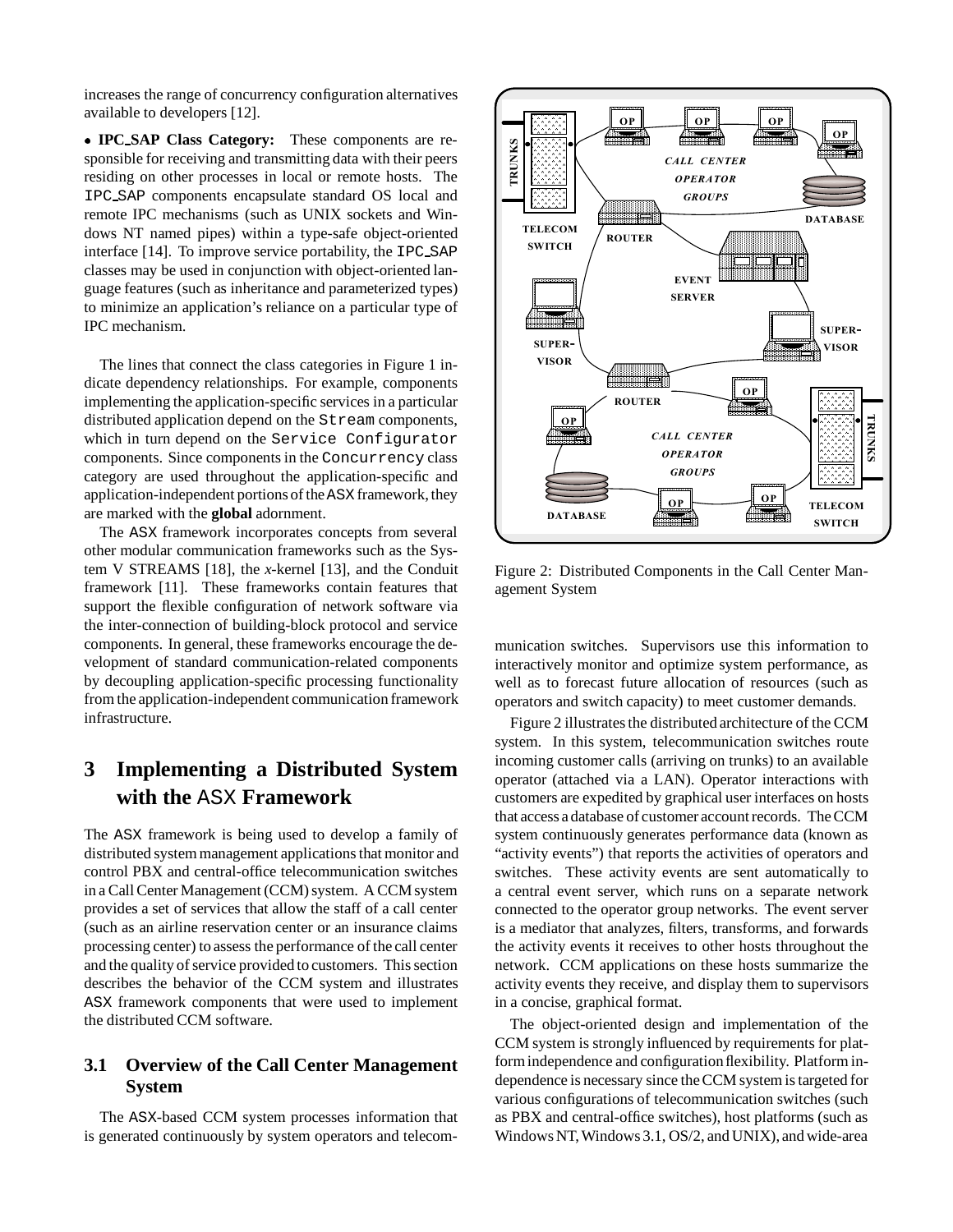increases the range of concurrency configuration alternatives available to developers [12].

 **IPC SAP Class Category:** These components are responsible for receiving and transmitting data with their peers residing on other processes in local or remote hosts. The IPC SAP components encapsulate standard OS local and remote IPC mechanisms (such as UNIX sockets and Windows NT named pipes) within a type-safe object-oriented interface [14]. To improve service portability, the IPC SAP classes may be used in conjunction with object-oriented language features (such as inheritance and parameterized types) to minimize an application's reliance on a particular type of IPC mechanism.

The lines that connect the class categories in Figure 1 indicate dependency relationships. For example, components implementing the application-specific services in a particular distributed application depend on the Stream components, which in turn depend on the Service Configurator components. Since components in the Concurrency class category are used throughout the application-specific and application-independent portions of the ASX framework, they are marked with the **global** adornment.

The ASX framework incorporates concepts from several other modular communication frameworks such as the System V STREAMS [18], the *x*-kernel [13], and the Conduit framework [11]. These frameworks contain features that support the flexible configuration of network software via the inter-connection of building-block protocol and service components. In general, these frameworks encourage the development of standard communication-related components by decoupling application-specific processing functionality from the application-independent communication framework infrastructure.

# **3 Implementing a Distributed System with the** ASX **Framework**

The ASX framework is being used to develop a family of distributed system management applications that monitor and control PBX and central-office telecommunication switches in a Call Center Management (CCM) system. A CCM system provides a set of services that allow the staff of a call center (such as an airline reservation center or an insurance claims processing center) to assess the performance of the call center and the quality of service provided to customers. This section describes the behavior of the CCM system and illustrates ASX framework components that were used to implement the distributed CCM software.

## **3.1 Overview of the Call Center Management System**

The ASX-based CCM system processes information that is generated continuously by system operators and telecom-



Figure 2: Distributed Components in the Call Center Management System

munication switches. Supervisors use this information to interactively monitor and optimize system performance, as well as to forecast future allocation of resources (such as operators and switch capacity) to meet customer demands.

Figure 2 illustrates the distributed architecture of the CCM system. In this system, telecommunication switches route incoming customer calls (arriving on trunks) to an available operator (attached via a LAN). Operator interactions with customers are expedited by graphical user interfaces on hosts that access a database of customer account records. The CCM system continuously generates performance data (known as "activity events") that reports the activities of operators and switches. These activity events are sent automatically to a central event server, which runs on a separate network connected to the operator group networks. The event server is a mediator that analyzes, filters, transforms, and forwards the activity events it receives to other hosts throughout the network. CCM applications on these hosts summarize the activity events they receive, and display them to supervisors in a concise, graphical format.

The object-oriented design and implementation of the CCM system is strongly influenced by requirements for platform independence and configuration flexibility. Platform independence is necessary since the CCM system is targeted for various configurations of telecommunication switches (such as PBX and central-office switches), host platforms (such as Windows NT, Windows 3.1, OS/2, and UNIX), and wide-area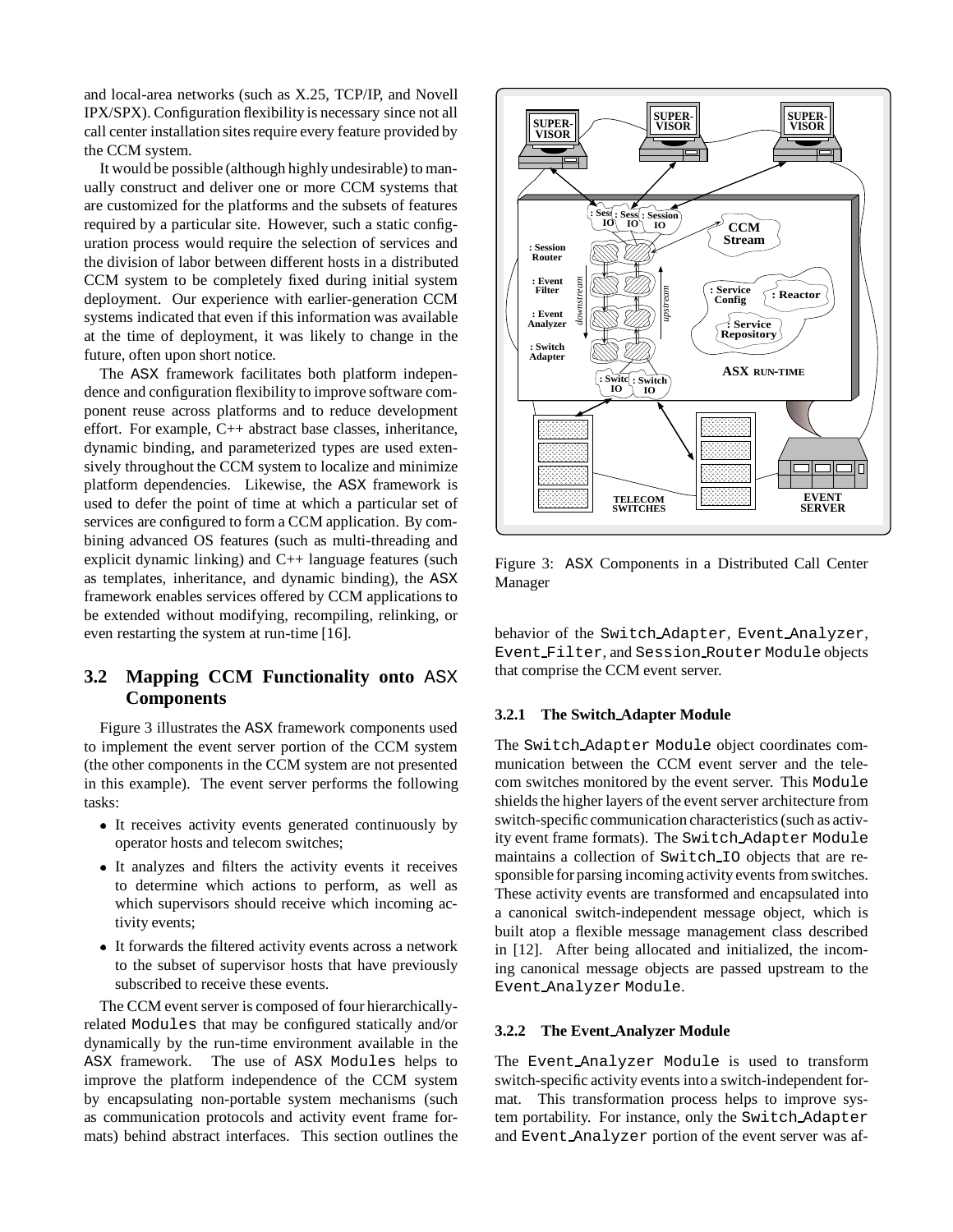and local-area networks (such as X.25, TCP/IP, and Novell IPX/SPX). Configuration flexibility is necessary since not all call center installation sites require every feature provided by the CCM system.

It would be possible (although highly undesirable) to manually construct and deliver one or more CCM systems that are customized for the platforms and the subsets of features required by a particular site. However, such a static configuration process would require the selection of services and the division of labor between different hosts in a distributed CCM system to be completely fixed during initial system deployment. Our experience with earlier-generation CCM systems indicated that even if this information was available at the time of deployment, it was likely to change in the future, often upon short notice.

The ASX framework facilitates both platform independence and configuration flexibility to improve software component reuse across platforms and to reduce development effort. For example, C++ abstract base classes, inheritance, dynamic binding, and parameterized types are used extensively throughout the CCM system to localize and minimize platform dependencies. Likewise, the ASX framework is used to defer the point of time at which a particular set of services are configured to form a CCM application. By combining advanced OS features (such as multi-threading and explicit dynamic linking) and C++ language features (such as templates, inheritance, and dynamic binding), the ASX framework enables services offered by CCM applications to be extended without modifying, recompiling, relinking, or even restarting the system at run-time [16].

## **3.2 Mapping CCM Functionality onto** ASX **Components**

Figure 3 illustrates the ASX framework components used to implement the event server portion of the CCM system (the other components in the CCM system are not presented in this example). The event server performs the following tasks:

- It receives activity events generated continuously by operator hosts and telecom switches;
- It analyzes and filters the activity events it receives to determine which actions to perform, as well as which supervisors should receive which incoming activity events;
- It forwards the filtered activity events across a network to the subset of supervisor hosts that have previously subscribed to receive these events.

The CCM event server is composed of four hierarchicallyrelated Modules that may be configured statically and/or dynamically by the run-time environment available in the ASX framework. The use of ASX Modules helps to improve the platform independence of the CCM system by encapsulating non-portable system mechanisms (such as communication protocols and activity event frame formats) behind abstract interfaces. This section outlines the



Figure 3: ASX Components in a Distributed Call Center Manager

behavior of the Switch Adapter, Event Analyzer, Event Filter, and Session Router Module objects that comprise the CCM event server.

### **3.2.1 The Switch Adapter Module**

The Switch Adapter Module object coordinates communication between the CCM event server and the telecom switches monitored by the event server. This Module shields the higher layers of the event server architecture from switch-specific communication characteristics (such as activity event frame formats). The Switch Adapter Module maintains a collection of Switch IO objects that are responsible for parsing incoming activity events from switches. These activity events are transformed and encapsulated into a canonical switch-independent message object, which is built atop a flexible message management class described in [12]. After being allocated and initialized, the incoming canonical message objects are passed upstream to the Event Analyzer Module.

#### **3.2.2 The Event Analyzer Module**

The Event Analyzer Module is used to transform switch-specific activity events into a switch-independent format. This transformation process helps to improve system portability. For instance, only the Switch Adapter and Event Analyzer portion of the event server was af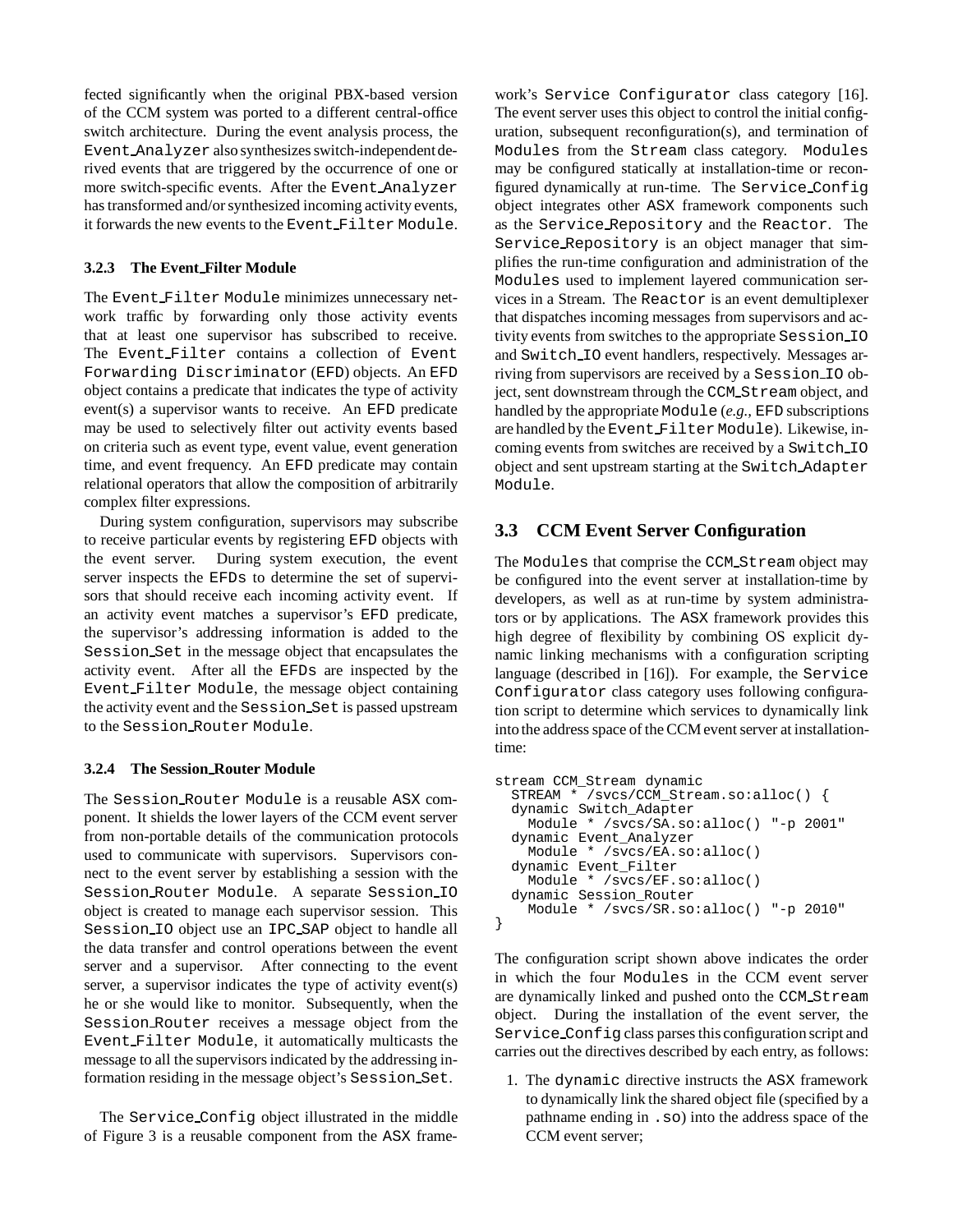fected significantly when the original PBX-based version of the CCM system was ported to a different central-office switch architecture. During the event analysis process, the Event Analyzer also synthesizes switch-independent derived events that are triggered by the occurrence of one or more switch-specific events. After the Event Analyzer has transformed and/or synthesized incoming activity events, it forwards the new events to the Event Filter Module.

### **3.2.3 The Event Filter Module**

The Event Filter Module minimizes unnecessary network traffic by forwarding only those activity events that at least one supervisor has subscribed to receive. The Event Filter contains a collection of Event Forwarding Discriminator (EFD) objects. An EFD object contains a predicate that indicates the type of activity event(s) a supervisor wants to receive. An EFD predicate may be used to selectively filter out activity events based on criteria such as event type, event value, event generation time, and event frequency. An EFD predicate may contain relational operators that allow the composition of arbitrarily complex filter expressions.

During system configuration, supervisors may subscribe to receive particular events by registering EFD objects with the event server. During system execution, the event server inspects the EFDs to determine the set of supervisors that should receive each incoming activity event. If an activity event matches a supervisor's EFD predicate, the supervisor's addressing information is added to the Session Set in the message object that encapsulates the activity event. After all the EFDs are inspected by the Event Filter Module, the message object containing the activity event and the Session Set is passed upstream to the Session Router Module.

### **3.2.4 The Session Router Module**

The Session Router Module is a reusable ASX component. It shields the lower layers of the CCM event server from non-portable details of the communication protocols used to communicate with supervisors. Supervisors connect to the event server by establishing a session with the Session Router Module. A separate Session IO object is created to manage each supervisor session. This Session IO object use an IPC SAP object to handle all the data transfer and control operations between the event server and a supervisor. After connecting to the event server, a supervisor indicates the type of activity event(s) he or she would like to monitor. Subsequently, when the Session Router receives a message object from the Event Filter Module, it automatically multicasts the message to all the supervisors indicated by the addressing information residing in the message object's Session Set.

The Service Config object illustrated in the middle of Figure 3 is a reusable component from the ASX frame-

work's Service Configurator class category [16]. The event server uses this object to control the initial configuration, subsequent reconfiguration(s), and termination of Modules from the Stream class category. Modules may be configured statically at installation-time or reconfigured dynamically at run-time. The Service Config object integrates other ASX framework components such as the Service Repository and the Reactor. The Service Repository is an object manager that simplifies the run-time configuration and administration of the Modules used to implement layered communication services in a Stream. The Reactor is an event demultiplexer that dispatches incoming messages from supervisors and activity events from switches to the appropriate Session IO and Switch IO event handlers, respectively. Messages arriving from supervisors are received by a Session IO object, sent downstream through the CCM Stream object, and handled by the appropriate Module (*e.g.,* EFD subscriptions are handled by the Event Filter Module). Likewise, incoming events from switches are received by a Switch IO object and sent upstream starting at the Switch Adapter Module.

## **3.3 CCM Event Server Configuration**

The Modules that comprise the CCM Stream object may be configured into the event server at installation-time by developers, as well as at run-time by system administrators or by applications. The ASX framework provides this high degree of flexibility by combining OS explicit dynamic linking mechanisms with a configuration scripting language (described in [16]). For example, the Service Configurator class category uses following configuration script to determine which services to dynamically link intothe address space of the CCM event server at installationtime:

```
stream CCM_Stream dynamic
  STREAM * /svcs/CCM_Stream.so:alloc() {
  dynamic Switch_Adapter
   Module * /svcs/SA.so:alloc() "-p 2001"
  dynamic Event_Analyzer
   Module * /svcs/EA.so:alloc()
  dynamic Event_Filter
   Module * /svcs/EF.so:alloc()
  dynamic Session_Router
   Module * /svcs/SR.so:alloc() "-p 2010"
}
```
The configuration script shown above indicates the order in which the four Modules in the CCM event server are dynamically linked and pushed onto the CCM Stream object. During the installation of the event server, the Service Config class parses this configuration script and carries out the directives described by each entry, as follows:

1. The dynamic directive instructs the ASX framework to dynamically link the shared object file (specified by a pathname ending in .so) into the address space of the CCM event server;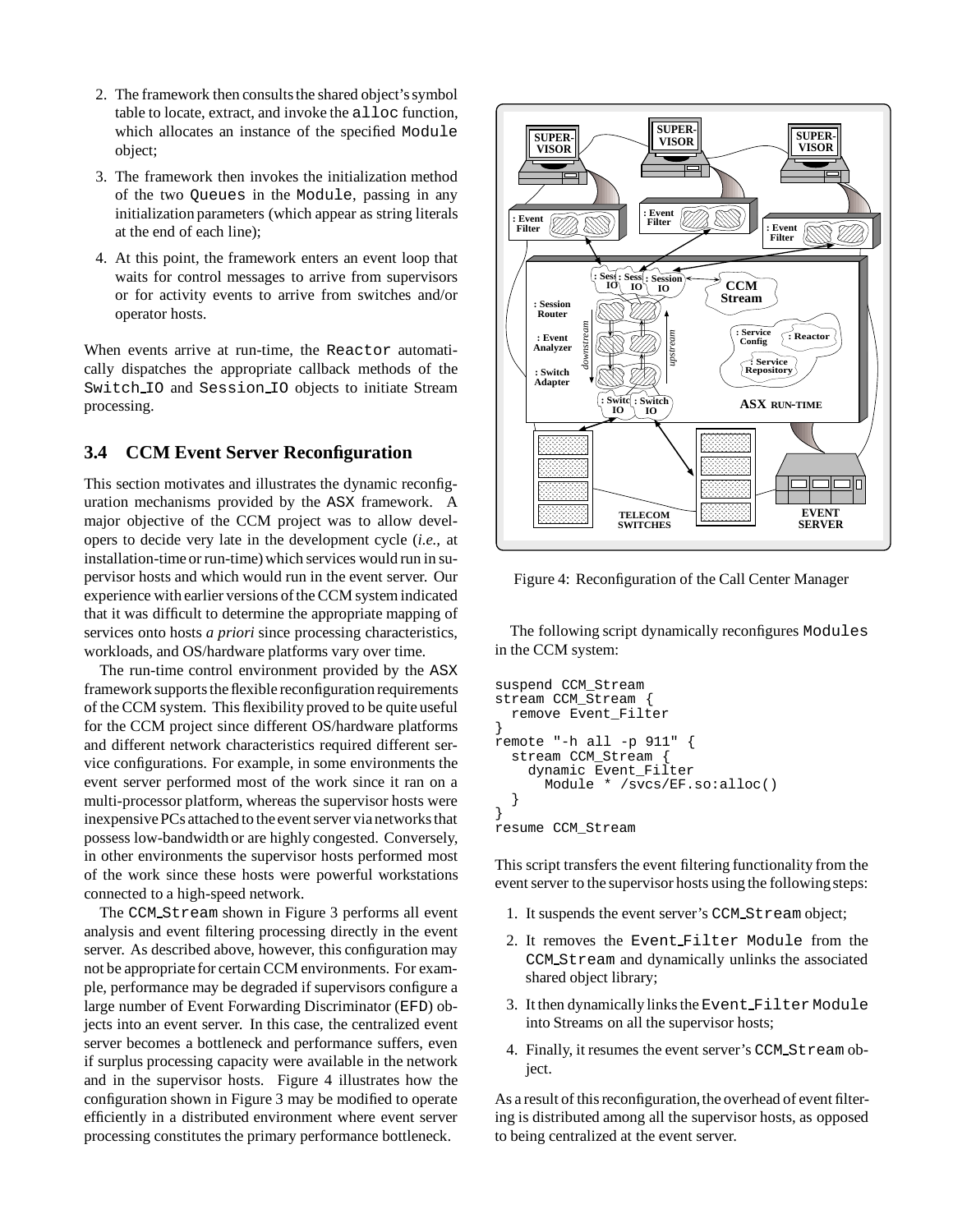- 2. The framework then consults the shared object's symbol table to locate, extract, and invoke the alloc function, which allocates an instance of the specified Module object;
- 3. The framework then invokes the initialization method of the two Queues in the Module, passing in any initialization parameters (which appear as string literals at the end of each line);
- 4. At this point, the framework enters an event loop that waits for control messages to arrive from supervisors or for activity events to arrive from switches and/or operator hosts.

When events arrive at run-time, the Reactor automatically dispatches the appropriate callback methods of the Switch IO and Session IO objects to initiate Stream processing.

### **3.4 CCM Event Server Reconfiguration**

This section motivates and illustrates the dynamic reconfiguration mechanisms provided by the ASX framework. A major objective of the CCM project was to allow developers to decide very late in the development cycle (*i.e.,* at installation-time or run-time) which services would run in supervisor hosts and which would run in the event server. Our experience with earlier versions of the CCM system indicated that it was difficult to determine the appropriate mapping of services onto hosts *a priori* since processing characteristics, workloads, and OS/hardware platforms vary over time.

The run-time control environment provided by the ASX framework supports the flexible reconfiguration requirements of the CCM system. This flexibility proved to be quite useful for the CCM project since different OS/hardware platforms and different network characteristics required different service configurations. For example, in some environments the event server performed most of the work since it ran on a multi-processor platform, whereas the supervisor hosts were inexpensive PCs attached to the event server via networks that possess low-bandwidth or are highly congested. Conversely, in other environments the supervisor hosts performed most of the work since these hosts were powerful workstations connected to a high-speed network.

The CCM Stream shown in Figure 3 performs all event analysis and event filtering processing directly in the event server. As described above, however, this configuration may not be appropriate for certain CCM environments. For example, performance may be degraded if supervisors configure a large number of Event Forwarding Discriminator (EFD) objects into an event server. In this case, the centralized event server becomes a bottleneck and performance suffers, even if surplus processing capacity were available in the network and in the supervisor hosts. Figure 4 illustrates how the configuration shown in Figure 3 may be modified to operate efficiently in a distributed environment where event server processing constitutes the primary performance bottleneck.



Figure 4: Reconfiguration of the Call Center Manager

The following script dynamically reconfigures Modules in the CCM system:

```
suspend CCM_Stream
stream CCM_Stream {
  remove Event_Filter
}
remote "-h all -p 911" {
  stream CCM_Stream {
    dynamic Event_Filter
      Module * /svcs/EF.so:alloc()
  }
}
resume CCM_Stream
```
This script transfers the event filtering functionality from the event server to the supervisor hosts using the following steps:

- 1. It suspends the event server's CCM Stream object;
- 2. It removes the Event Filter Module from the CCM Stream and dynamically unlinks the associated shared object library;
- 3. It then dynamically links the Event Filter Module into Streams on all the supervisor hosts;
- 4. Finally, it resumes the event server's CCM Stream object.

As a result of this reconfiguration, the overhead of event filtering is distributed among all the supervisor hosts, as opposed to being centralized at the event server.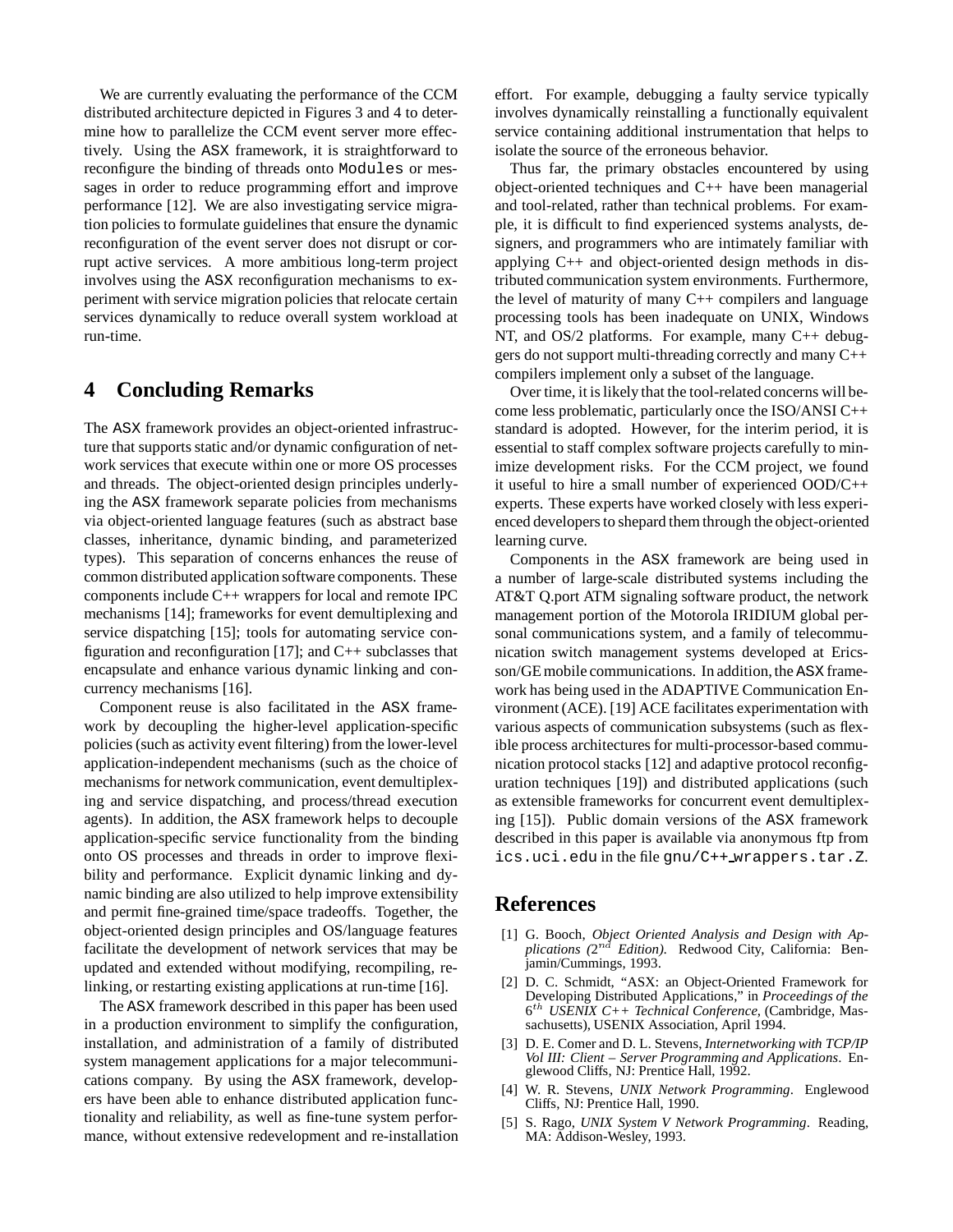We are currently evaluating the performance of the CCM distributed architecture depicted in Figures 3 and 4 to determine how to parallelize the CCM event server more effectively. Using the ASX framework, it is straightforward to reconfigure the binding of threads onto Modules or messages in order to reduce programming effort and improve performance [12]. We are also investigating service migration policies to formulate guidelines that ensure the dynamic reconfiguration of the event server does not disrupt or corrupt active services. A more ambitious long-term project involves using the ASX reconfiguration mechanisms to experiment with service migration policies that relocate certain services dynamically to reduce overall system workload at run-time.

## **4 Concluding Remarks**

The ASX framework provides an object-oriented infrastructure that supports static and/or dynamic configuration of network services that execute within one or more OS processes and threads. The object-oriented design principles underlying the ASX framework separate policies from mechanisms via object-oriented language features (such as abstract base classes, inheritance, dynamic binding, and parameterized types). This separation of concerns enhances the reuse of common distributed application software components. These components include C++ wrappers for local and remote IPC mechanisms [14]; frameworks for event demultiplexing and service dispatching [15]; tools for automating service configuration and reconfiguration [17]; and  $C++$  subclasses that encapsulate and enhance various dynamic linking and concurrency mechanisms [16].

Component reuse is also facilitated in the ASX framework by decoupling the higher-level application-specific policies (such as activity event filtering) from the lower-level application-independent mechanisms (such as the choice of mechanisms for network communication, event demultiplexing and service dispatching, and process/thread execution agents). In addition, the ASX framework helps to decouple application-specific service functionality from the binding onto OS processes and threads in order to improve flexibility and performance. Explicit dynamic linking and dynamic binding are also utilized to help improve extensibility and permit fine-grained time/space tradeoffs. Together, the object-oriented design principles and OS/language features facilitate the development of network services that may be updated and extended without modifying, recompiling, relinking, or restarting existing applications at run-time [16].

The ASX framework described in this paper has been used in a production environment to simplify the configuration, installation, and administration of a family of distributed system management applications for a major telecommunications company. By using the ASX framework, developers have been able to enhance distributed application functionality and reliability, as well as fine-tune system performance, without extensive redevelopment and re-installation effort. For example, debugging a faulty service typically involves dynamically reinstalling a functionally equivalent service containing additional instrumentation that helps to isolate the source of the erroneous behavior.

Thus far, the primary obstacles encountered by using object-oriented techniques and C++ have been managerial and tool-related, rather than technical problems. For example, it is difficult to find experienced systems analysts, designers, and programmers who are intimately familiar with applying C++ and object-oriented design methods in distributed communication system environments. Furthermore, the level of maturity of many  $C_{++}$  compilers and language processing tools has been inadequate on UNIX, Windows NT, and OS/2 platforms. For example, many C++ debuggers do not support multi-threading correctly and many C++ compilers implement only a subset of the language.

Over time, it is likely that the tool-related concerns will become less problematic, particularly once the ISO/ANSI C++ standard is adopted. However, for the interim period, it is essential to staff complex software projects carefully to minimize development risks. For the CCM project, we found it useful to hire a small number of experienced OOD/C++ experts. These experts have worked closely with less experienced developers to shepard them through the object-oriented learning curve.

Components in the ASX framework are being used in a number of large-scale distributed systems including the AT&T Q.port ATM signaling software product, the network management portion of the Motorola IRIDIUM global personal communications system, and a family of telecommunication switch management systems developed at Ericsson/GE mobile communications. In addition, the ASX framework has being used in the ADAPTIVE Communication Environment (ACE). [19] ACE facilitates experimentation with various aspects of communication subsystems (such as flexible process architectures for multi-processor-based communication protocol stacks [12] and adaptive protocol reconfiguration techniques [19]) and distributed applications (such as extensible frameworks for concurrent event demultiplexing [15]). Public domain versions of the ASX framework described in this paper is available via anonymous ftp from ics.uci.edu in the file gnu/C++ wrappers.tar.Z.

### **References**

- [1] G. Booch, *Object Oriented Analysis and Design with Applications (*2nd *Edition)*. Redwood City, California: Benjamin/Cummings, 1993.
- [2] D. C. Schmidt, "ASX: an Object-Oriented Framework for Developing Distributed Applications," in *Proceedings of the* 6th *USENIX C++ Technical Conference*, (Cambridge, Massachusetts), USENIX Association, April 1994.
- [3] D. E. Comer and D. L. Stevens, *Internetworking with TCP/IP Vol III: Client – Server Programming and Applications*. Englewood Cliffs, NJ: Prentice Hall, 1992.
- [4] W. R. Stevens, *UNIX Network Programming*. Englewood Cliffs, NJ: Prentice Hall, 1990.
- [5] S. Rago, *UNIX System V Network Programming*. Reading, MA: Addison-Wesley, 1993.